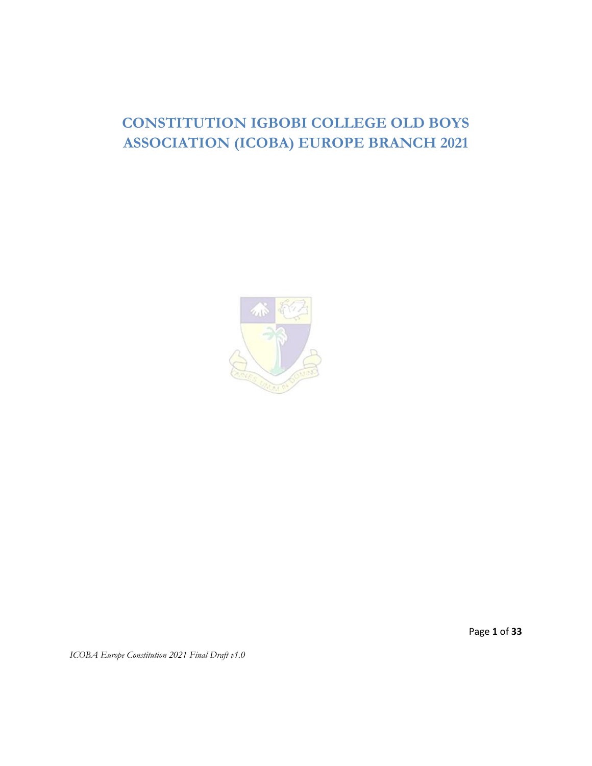# **CONSTITUTION IGBOBI COLLEGE OLD BOYS ASSOCIATION (ICOBA) EUROPE BRANCH 2021**



Page **1** of **33**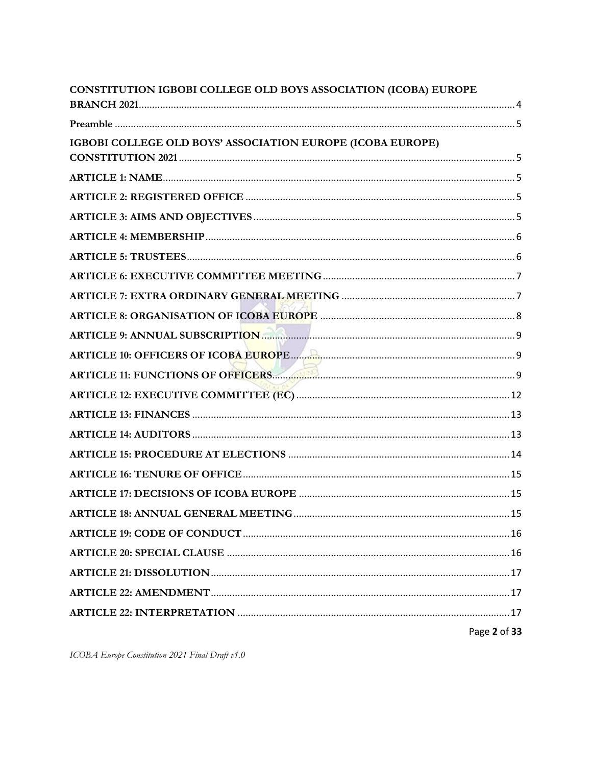| <b>CONSTITUTION IGBOBI COLLEGE OLD BOYS ASSOCIATION (ICOBA) EUROPE</b> |              |
|------------------------------------------------------------------------|--------------|
|                                                                        |              |
| IGBOBI COLLEGE OLD BOYS' ASSOCIATION EUROPE (ICOBA EUROPE)             |              |
|                                                                        |              |
|                                                                        |              |
|                                                                        |              |
|                                                                        |              |
|                                                                        |              |
|                                                                        |              |
|                                                                        |              |
|                                                                        |              |
|                                                                        |              |
|                                                                        |              |
| ARTICLE 11: FUNCTIONS OF OFFICERS                                      |              |
|                                                                        |              |
|                                                                        |              |
|                                                                        |              |
|                                                                        |              |
|                                                                        |              |
|                                                                        |              |
|                                                                        |              |
|                                                                        |              |
|                                                                        |              |
|                                                                        |              |
|                                                                        |              |
|                                                                        |              |
|                                                                        | Page 2 of 33 |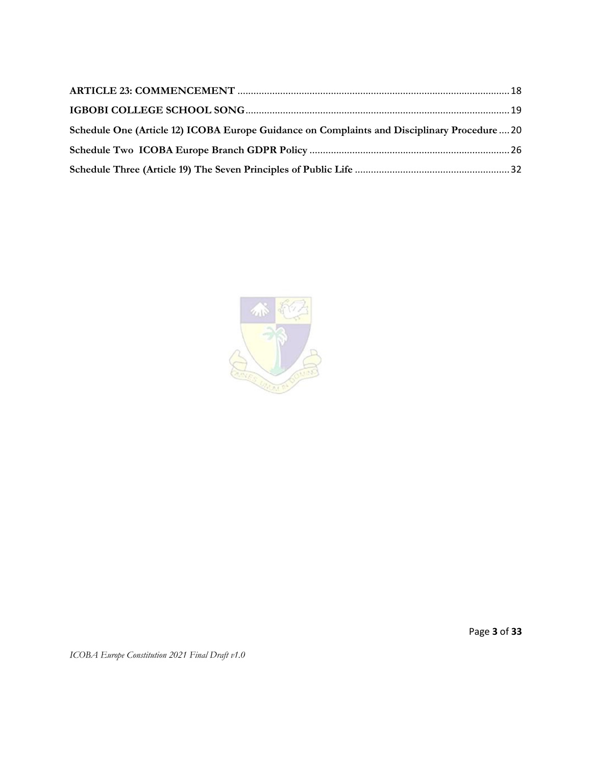| Schedule One (Article 12) ICOBA Europe Guidance on Complaints and Disciplinary Procedure20 |  |
|--------------------------------------------------------------------------------------------|--|
|                                                                                            |  |
|                                                                                            |  |

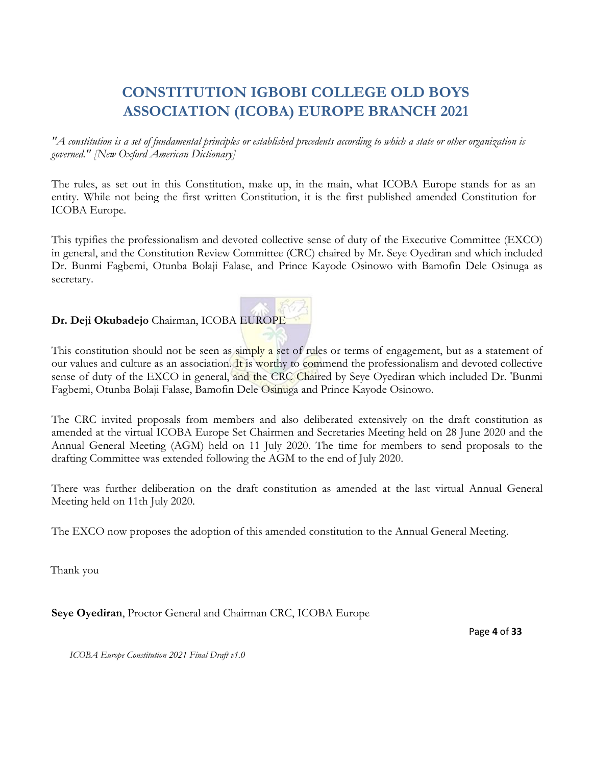# **CONSTITUTION IGBOBI COLLEGE OLD BOYS ASSOCIATION (ICOBA) EUROPE BRANCH 2021**

<span id="page-3-0"></span>*"A constitution is a set of fundamental principles or established precedents according to which a state or other organization is governed." [New Oxford American Dictionary]*

The rules, as set out in this Constitution, make up, in the main, what ICOBA Europe stands for as an entity. While not being the first written Constitution, it is the first published amended Constitution for ICOBA Europe.

This typifies the professionalism and devoted collective sense of duty of the Executive Committee (EXCO) in general, and the Constitution Review Committee (CRC) chaired by Mr. Seye Oyediran and which included Dr. Bunmi Fagbemi, Otunba Bolaji Falase, and Prince Kayode Osinowo with Bamofin Dele Osinuga as secretary.

## **Dr. Deji Okubadejo** Chairman, ICOBA EUROPE

This constitution should not be seen as simply a set of rules or terms of engagement, but as a statement of our values and culture as an association. It is worthy to commend the professionalism and devoted collective sense of duty of the EXCO in general, and the CRC Chaired by Seye Oyediran which included Dr. 'Bunmi Fagbemi, Otunba Bolaji Falase, Bamofin Dele Osinuga and Prince Kayode Osinowo.

The CRC invited proposals from members and also deliberated extensively on the draft constitution as amended at the virtual ICOBA Europe Set Chairmen and Secretaries Meeting held on 28 June 2020 and the Annual General Meeting (AGM) held on 11 July 2020. The time for members to send proposals to the drafting Committee was extended following the AGM to the end of July 2020.

There was further deliberation on the draft constitution as amended at the last virtual Annual General Meeting held on 11th July 2020.

The EXCO now proposes the adoption of this amended constitution to the Annual General Meeting.

Thank you

**Seye Oyediran**, Proctor General and Chairman CRC, ICOBA Europe

Page **4** of **33**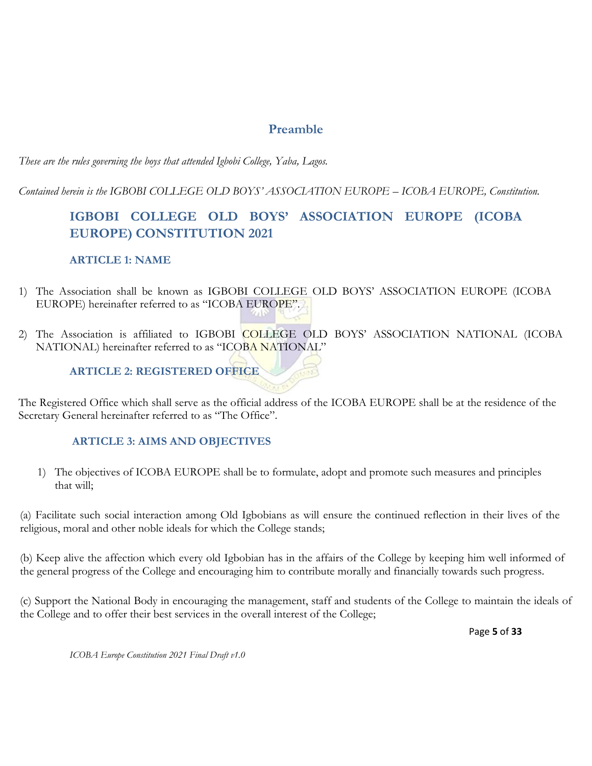# **Preamble**

<span id="page-4-0"></span>*These are the rules governing the boys that attended Igbobi College, Yaba, Lagos.*

*Contained herein is the IGBOBI COLLEGE OLD BOYS' ASSOCIATION EUROPE – ICOBA EUROPE, Constitution.*

# <span id="page-4-1"></span>**IGBOBI COLLEGE OLD BOYS' ASSOCIATION EUROPE (ICOBA EUROPE) CONSTITUTION 2021**

#### <span id="page-4-2"></span>**ARTICLE 1: NAME**

- 1) The Association shall be known as IGBOBI COLLEGE OLD BOYS' ASSOCIATION EUROPE (ICOBA EUROPE) hereinafter referred to as "ICOBA EUROPE".
- 2) The Association is affiliated to IGBOBI COLLEGE OLD BOYS' ASSOCIATION NATIONAL (ICOBA NATIONAL) hereinafter referred to as "ICOBA NATIONAL"

#### <span id="page-4-3"></span>**ARTICLE 2: REGISTERED OFFICE**

The Registered Office which shall serve as the official address of the ICOBA EUROPE shall be at the residence of the Secretary General hereinafter referred to as "The Office".

## <span id="page-4-4"></span>**ARTICLE 3: AIMS AND OBJECTIVES**

1) The objectives of ICOBA EUROPE shall be to formulate, adopt and promote such measures and principles that will;

(a) Facilitate such social interaction among Old Igbobians as will ensure the continued reflection in their lives of the religious, moral and other noble ideals for which the College stands;

(b) Keep alive the affection which every old Igbobian has in the affairs of the College by keeping him well informed of the general progress of the College and encouraging him to contribute morally and financially towards such progress.

(c) Support the National Body in encouraging the management, staff and students of the College to maintain the ideals of the College and to offer their best services in the overall interest of the College;

Page **5** of **33**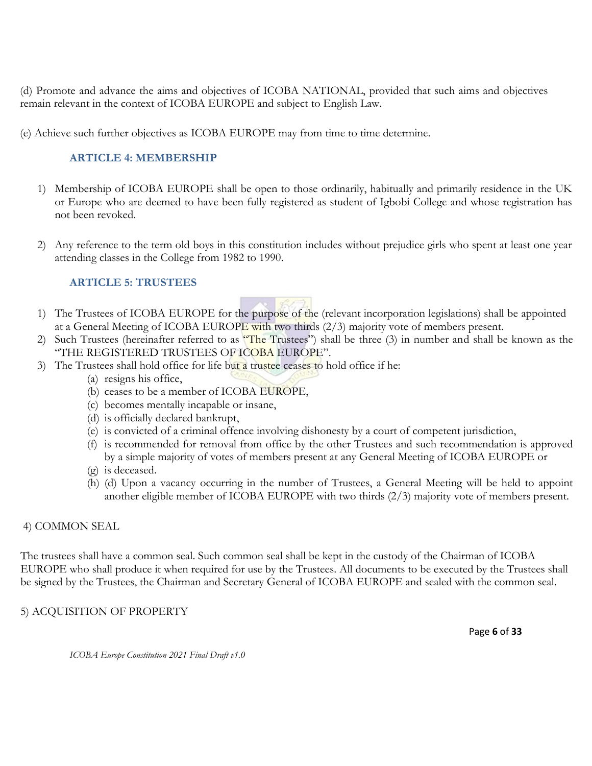(d) Promote and advance the aims and objectives of ICOBA NATIONAL, provided that such aims and objectives remain relevant in the context of ICOBA EUROPE and subject to English Law.

(e) Achieve such further objectives as ICOBA EUROPE may from time to time determine.

## <span id="page-5-0"></span>**ARTICLE 4: MEMBERSHIP**

- 1) Membership of ICOBA EUROPE shall be open to those ordinarily, habitually and primarily residence in the UK or Europe who are deemed to have been fully registered as student of Igbobi College and whose registration has not been revoked.
- 2) Any reference to the term old boys in this constitution includes without prejudice girls who spent at least one year attending classes in the College from 1982 to 1990.

# <span id="page-5-1"></span>**ARTICLE 5: TRUSTEES**

- 1) The Trustees of ICOBA EUROPE for the purpose of the (relevant incorporation legislations) shall be appointed at a General Meeting of ICOBA EUROPE with two thirds (2/3) majority vote of members present.
- 2) Such Trustees (hereinafter referred to as "The Trustees") shall be three (3) in number and shall be known as the "THE REGISTERED TRUSTEES OF ICOBA EUROPE".
- 3) The Trustees shall hold office for life but a trustee ceases to hold office if he:
	- (a) resigns his office,
	- (b) ceases to be a member of ICOBA EUROPE,
	- (c) becomes mentally incapable or insane,
	- (d) is officially declared bankrupt,
	- (e) is convicted of a criminal offence involving dishonesty by a court of competent jurisdiction,
	- (f) is recommended for removal from office by the other Trustees and such recommendation is approved by a simple majority of votes of members present at any General Meeting of ICOBA EUROPE or
	- (g) is deceased.
	- (h) (d) Upon a vacancy occurring in the number of Trustees, a General Meeting will be held to appoint another eligible member of ICOBA EUROPE with two thirds (2/3) majority vote of members present.

## 4) COMMON SEAL

The trustees shall have a common seal. Such common seal shall be kept in the custody of the Chairman of ICOBA EUROPE who shall produce it when required for use by the Trustees. All documents to be executed by the Trustees shall be signed by the Trustees, the Chairman and Secretary General of ICOBA EUROPE and sealed with the common seal.

## 5) ACQUISITION OF PROPERTY

Page **6** of **33**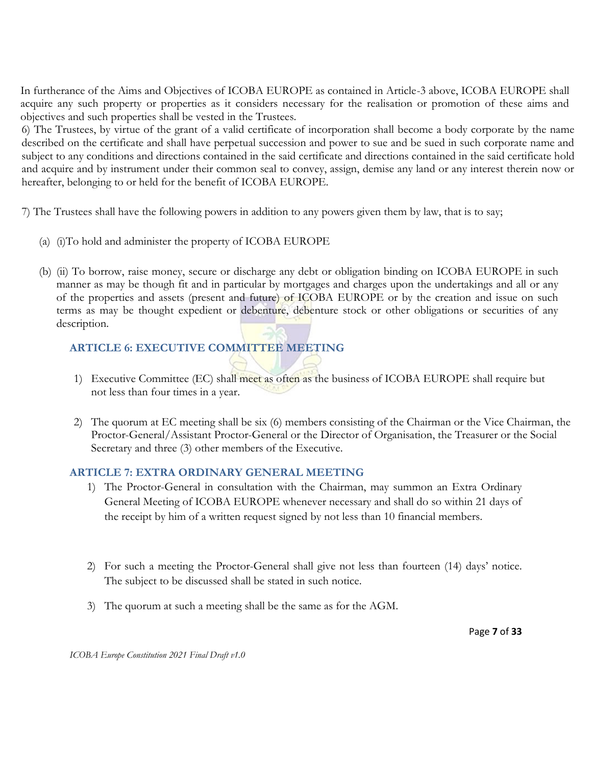In furtherance of the Aims and Objectives of ICOBA EUROPE as contained in Article-3 above, ICOBA EUROPE shall acquire any such property or properties as it considers necessary for the realisation or promotion of these aims and objectives and such properties shall be vested in the Trustees.

6) The Trustees, by virtue of the grant of a valid certificate of incorporation shall become a body corporate by the name described on the certificate and shall have perpetual succession and power to sue and be sued in such corporate name and subject to any conditions and directions contained in the said certificate and directions contained in the said certificate hold and acquire and by instrument under their common seal to convey, assign, demise any land or any interest therein now or hereafter, belonging to or held for the benefit of ICOBA EUROPE.

7) The Trustees shall have the following powers in addition to any powers given them by law, that is to say;

- (a) (i)To hold and administer the property of ICOBA EUROPE
- (b) (ii) To borrow, raise money, secure or discharge any debt or obligation binding on ICOBA EUROPE in such manner as may be though fit and in particular by mortgages and charges upon the undertakings and all or any of the properties and assets (present and future) of ICOBA EUROPE or by the creation and issue on such terms as may be thought expedient or debenture, debenture stock or other obligations or securities of any description.

# <span id="page-6-0"></span>**ARTICLE 6: EXECUTIVE COMMITTEE MEETING**

- 1) Executive Committee (EC) shall meet as often as the business of ICOBA EUROPE shall require but not less than four times in a year.
- 2) The quorum at EC meeting shall be six (6) members consisting of the Chairman or the Vice Chairman, the Proctor-General/Assistant Proctor-General or the Director of Organisation, the Treasurer or the Social Secretary and three (3) other members of the Executive.

## <span id="page-6-1"></span>**ARTICLE 7: EXTRA ORDINARY GENERAL MEETING**

- 1) The Proctor-General in consultation with the Chairman, may summon an Extra Ordinary General Meeting of ICOBA EUROPE whenever necessary and shall do so within 21 days of the receipt by him of a written request signed by not less than 10 financial members.
- 2) For such a meeting the Proctor-General shall give not less than fourteen (14) days' notice. The subject to be discussed shall be stated in such notice.
- 3) The quorum at such a meeting shall be the same as for the AGM.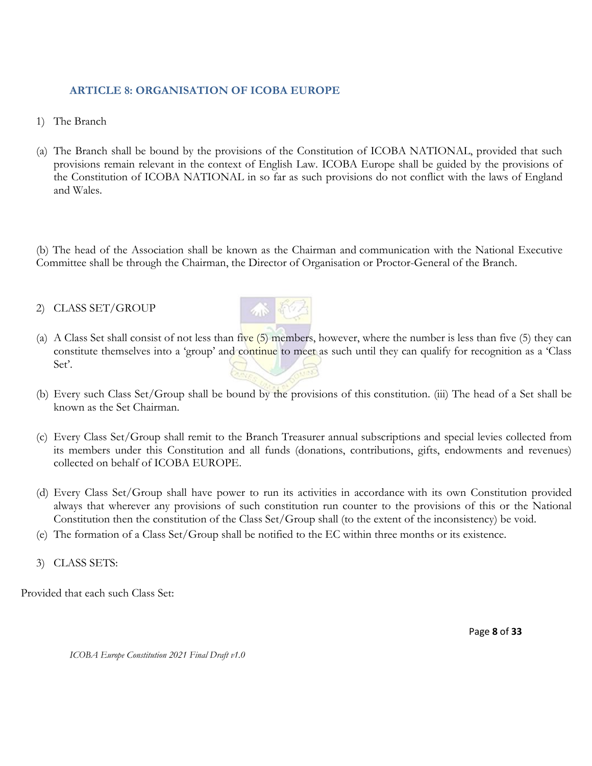# <span id="page-7-0"></span>**ARTICLE 8: ORGANISATION OF ICOBA EUROPE**

- 1) The Branch
- (a) The Branch shall be bound by the provisions of the Constitution of ICOBA NATIONAL, provided that such provisions remain relevant in the context of English Law. ICOBA Europe shall be guided by the provisions of the Constitution of ICOBA NATIONAL in so far as such provisions do not conflict with the laws of England and Wales.

(b) The head of the Association shall be known as the Chairman and communication with the National Executive Committee shall be through the Chairman, the Director of Organisation or Proctor-General of the Branch.

2) CLASS SET/GROUP



- (a) A Class Set shall consist of not less than five  $(5)$  members, however, where the number is less than five  $(5)$  they can constitute themselves into a 'group' and continue to meet as such until they can qualify for recognition as a 'Class Set'.
- (b) Every such Class Set/Group shall be bound by the provisions of this constitution. (iii) The head of a Set shall be known as the Set Chairman.
- (c) Every Class Set/Group shall remit to the Branch Treasurer annual subscriptions and special levies collected from its members under this Constitution and all funds (donations, contributions, gifts, endowments and revenues) collected on behalf of ICOBA EUROPE.
- (d) Every Class Set/Group shall have power to run its activities in accordance with its own Constitution provided always that wherever any provisions of such constitution run counter to the provisions of this or the National Constitution then the constitution of the Class Set/Group shall (to the extent of the inconsistency) be void.
- (e) The formation of a Class Set/Group shall be notified to the EC within three months or its existence.
- 3) CLASS SETS:

Provided that each such Class Set: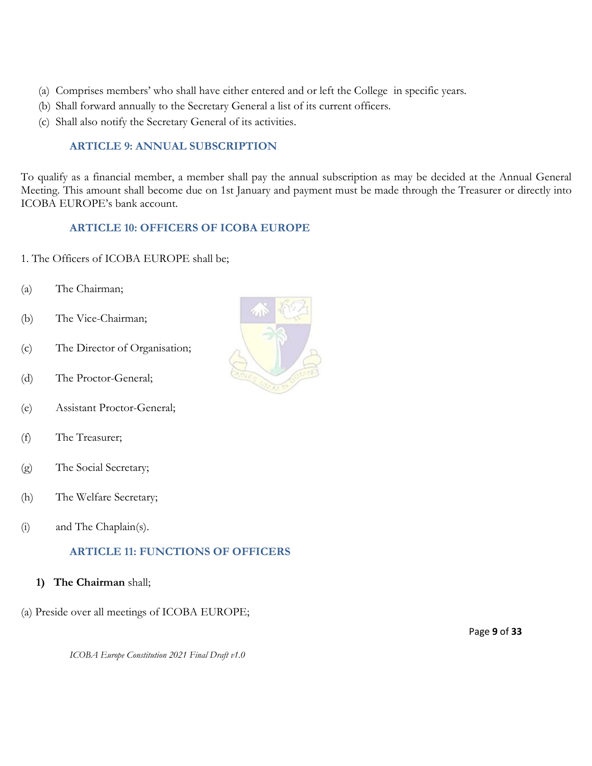- (a) Comprises members' who shall have either entered and or left the College in specific years.
- (b) Shall forward annually to the Secretary General a list of its current officers.
- (c) Shall also notify the Secretary General of its activities.

#### <span id="page-8-0"></span>**ARTICLE 9: ANNUAL SUBSCRIPTION**

To qualify as a financial member, a member shall pay the annual subscription as may be decided at the Annual General Meeting. This amount shall become due on 1st January and payment must be made through the Treasurer or directly into ICOBA EUROPE's bank account.

#### <span id="page-8-1"></span>**ARTICLE 10: OFFICERS OF ICOBA EUROPE**

- 1. The Officers of ICOBA EUROPE shall be;
- (a) The Chairman;
- (b) The Vice-Chairman;
- (c) The Director of Organisation;
- (d) The Proctor-General;
- (e) Assistant Proctor-General;
- (f) The Treasurer;
- (g) The Social Secretary;
- (h) The Welfare Secretary;
- (i) and The Chaplain(s).

#### <span id="page-8-2"></span>**ARTICLE 11: FUNCTIONS OF OFFICERS**

- **1) The Chairman** shall;
- (a) Preside over all meetings of ICOBA EUROPE;



Page **9** of **33**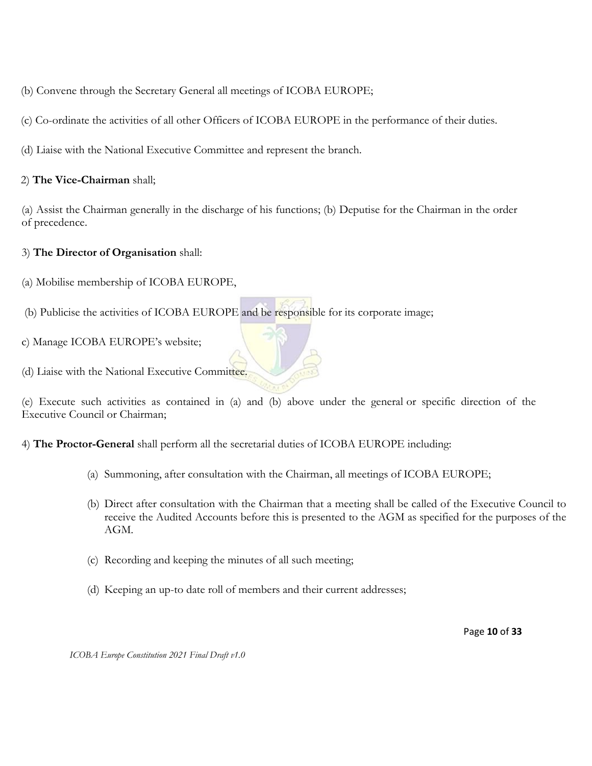(b) Convene through the Secretary General all meetings of ICOBA EUROPE;

(c) Co-ordinate the activities of all other Officers of ICOBA EUROPE in the performance of their duties.

(d) Liaise with the National Executive Committee and represent the branch.

2) **The Vice-Chairman** shall;

(a) Assist the Chairman generally in the discharge of his functions; (b) Deputise for the Chairman in the order of precedence.

#### 3) **The Director of Organisation** shall:

(a) Mobilise membership of ICOBA EUROPE,

(b) Publicise the activities of ICOBA EUROPE and be responsible for its corporate image;

c) Manage ICOBA EUROPE's website;

(d) Liaise with the National Executive Committee.

(e) Execute such activities as contained in (a) and (b) above under the general or specific direction of the Executive Council or Chairman;

4) **The Proctor-General** shall perform all the secretarial duties of ICOBA EUROPE including:

- (a) Summoning, after consultation with the Chairman, all meetings of ICOBA EUROPE;
- (b) Direct after consultation with the Chairman that a meeting shall be called of the Executive Council to receive the Audited Accounts before this is presented to the AGM as specified for the purposes of the AGM.
- (c) Recording and keeping the minutes of all such meeting;
- (d) Keeping an up-to date roll of members and their current addresses;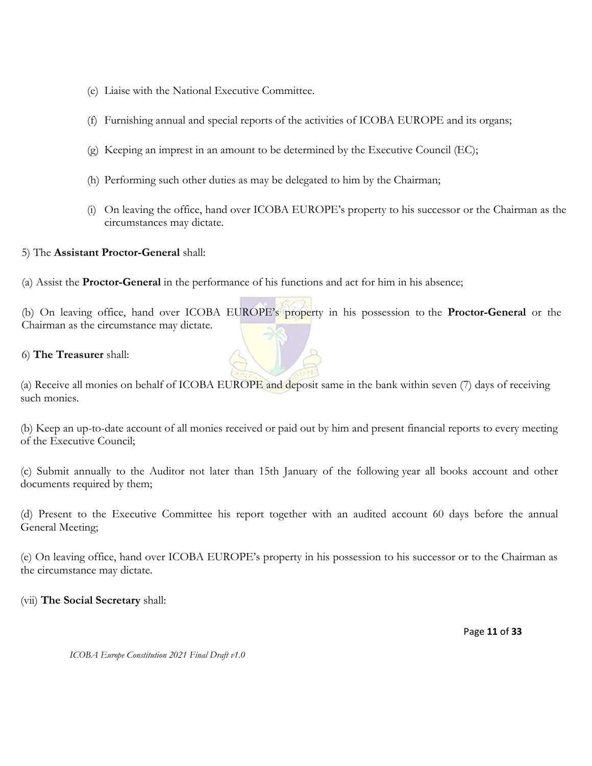- (e) Liaise with the National Executive Committee.
- (f) Furnishing annual and special reports of the activities of ICOBA EUROPE and its organs;
- (g) Keeping an imprest in an amount to be determined by the Executive Council (EC);
- (h) Performing such other duties as may be delegated to him by the Chairman;
- (i) On leaving the office, hand over ICOBA EUROPE's property to his successor or the Chairman as the circumstances may dictate.

#### 5) The **Assistant Proctor-General** shall:

(a) Assist the **Proctor-General** in the performance of his functions and act for him in his absence;

(b) On leaving office, hand over ICOBA EUROPE's property in his possession to the **Proctor-General** or the Chairman as the circumstance may dictate.

#### 6) **The Treasurer** shall:

(a) Receive all monies on behalf of ICOBA EUROPE and deposit same in the bank within seven (7) days of receiving such monies.

(b) Keep an up-to-date account of all monies received or paid out by him and present financial reports to every meeting of the Executive Council;

(c) Submit annually to the Auditor not later than 15th January of the following year all books account and other documents required by them;

(d) Present to the Executive Committee his report together with an audited account 60 days before the annual General Meeting;

(e) On leaving office, hand over ICOBA EUROPE's property in his possession to his successor or to the Chairman as the circumstance may dictate.

#### (vii) **The Social Secretary** shall:

Page **11** of **33**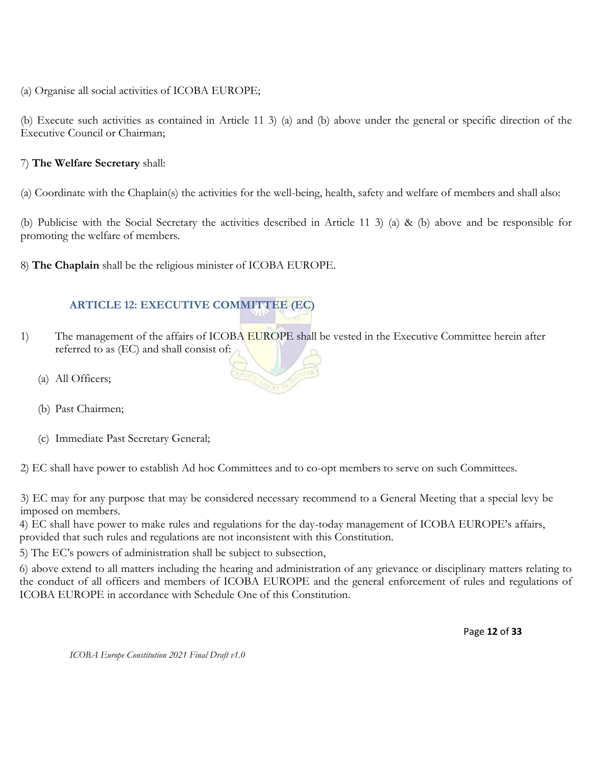(a) Organise all social activities of ICOBA EUROPE;

(b) Execute such activities as contained in Article 11 3) (a) and (b) above under the general or specific direction of the Executive Council or Chairman;

#### 7) **The Welfare Secretary** shall:

(a) Coordinate with the Chaplain(s) the activities for the well-being, health, safety and welfare of members and shall also:

(b) Publicise with the Social Secretary the activities described in Article 11 3) (a) & (b) above and be responsible for promoting the welfare of members.

8) **The Chaplain** shall be the religious minister of ICOBA EUROPE.

# <span id="page-11-0"></span>**ARTICLE 12: EXECUTIVE COMMITTEE (EC)**

- 1) The management of the affairs of ICOBA EUROPE shall be vested in the Executive Committee herein after referred to as (EC) and shall consist of:
	- (a) All Officers;
	- (b) Past Chairmen;
	- (c) Immediate Past Secretary General;

2) EC shall have power to establish Ad hoc Committees and to co-opt members to serve on such Committees.

3) EC may for any purpose that may be considered necessary recommend to a General Meeting that a special levy be imposed on members.

4) EC shall have power to make rules and regulations for the day-today management of ICOBA EUROPE's affairs, provided that such rules and regulations are not inconsistent with this Constitution.

5) The EC's powers of administration shall be subject to subsection,

6) above extend to all matters including the hearing and administration of any grievance or disciplinary matters relating to the conduct of all officers and members of ICOBA EUROPE and the general enforcement of rules and regulations of ICOBA EUROPE in accordance with Schedule One of this Constitution.

Page **12** of **33**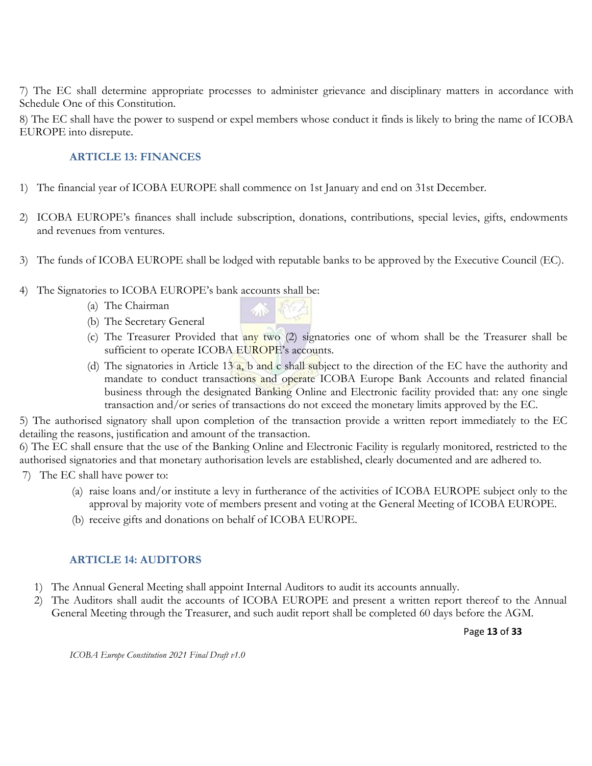7) The EC shall determine appropriate processes to administer grievance and disciplinary matters in accordance with Schedule One of this Constitution.

8) The EC shall have the power to suspend or expel members whose conduct it finds is likely to bring the name of ICOBA EUROPE into disrepute.

## <span id="page-12-0"></span>**ARTICLE 13: FINANCES**

1) The financial year of ICOBA EUROPE shall commence on 1st January and end on 31st December.

 $\alpha_{11}$ 

- 2) ICOBA EUROPE's finances shall include subscription, donations, contributions, special levies, gifts, endowments and revenues from ventures.
- 3) The funds of ICOBA EUROPE shall be lodged with reputable banks to be approved by the Executive Council (EC).
- 4) The Signatories to ICOBA EUROPE's bank accounts shall be:
	- (a) The Chairman
	- (b) The Secretary General
	- (c) The Treasurer Provided that any two (2) signatories one of whom shall be the Treasurer shall be sufficient to operate ICOBA EUROPE's accounts.
	- (d) The signatories in Article 13 a, b and c shall subject to the direction of the EC have the authority and mandate to conduct transactions and operate ICOBA Europe Bank Accounts and related financial business through the designated Banking Online and Electronic facility provided that: any one single transaction and/or series of transactions do not exceed the monetary limits approved by the EC.

5) The authorised signatory shall upon completion of the transaction provide a written report immediately to the EC detailing the reasons, justification and amount of the transaction.

6) The EC shall ensure that the use of the Banking Online and Electronic Facility is regularly monitored, restricted to the authorised signatories and that monetary authorisation levels are established, clearly documented and are adhered to.

7) The EC shall have power to:

- (a) raise loans and/or institute a levy in furtherance of the activities of ICOBA EUROPE subject only to the approval by majority vote of members present and voting at the General Meeting of ICOBA EUROPE.
- (b) receive gifts and donations on behalf of ICOBA EUROPE.

# <span id="page-12-1"></span>**ARTICLE 14: AUDITORS**

- 1) The Annual General Meeting shall appoint Internal Auditors to audit its accounts annually.
- 2) The Auditors shall audit the accounts of ICOBA EUROPE and present a written report thereof to the Annual General Meeting through the Treasurer, and such audit report shall be completed 60 days before the AGM.

Page **13** of **33**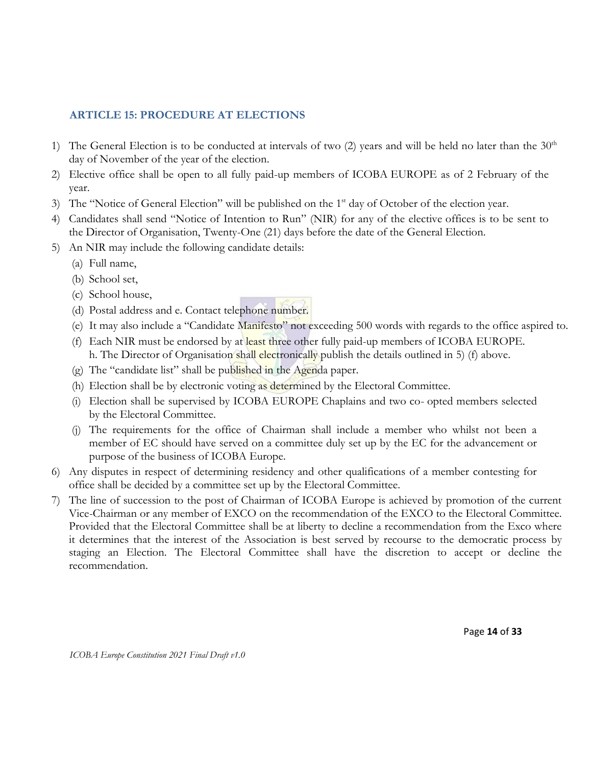## <span id="page-13-0"></span>**ARTICLE 15: PROCEDURE AT ELECTIONS**

- 1) The General Election is to be conducted at intervals of two (2) years and will be held no later than the  $30<sup>th</sup>$ day of November of the year of the election.
- 2) Elective office shall be open to all fully paid-up members of ICOBA EUROPE as of 2 February of the year.
- 3) The "Notice of General Election" will be published on the 1<sup>st</sup> day of October of the election year.
- 4) Candidates shall send "Notice of Intention to Run" (NIR) for any of the elective offices is to be sent to the Director of Organisation, Twenty-One (21) days before the date of the General Election.
- 5) An NIR may include the following candidate details:
	- (a) Full name,
	- (b) School set,
	- (c) School house,
	- (d) Postal address and e. Contact telephone number.
	- (e) It may also include a "Candidate Manifesto" not exceeding 500 words with regards to the office aspired to.
	- (f) Each NIR must be endorsed by at least three other fully paid-up members of ICOBA EUROPE. h. The Director of Organisation shall electronically publish the details outlined in 5) (f) above.
	- (g) The "candidate list" shall be published in the Agenda paper.
	- (h) Election shall be by electronic voting as determined by the Electoral Committee.
	- (i) Election shall be supervised by ICOBA EUROPE Chaplains and two co- opted members selected by the Electoral Committee.
	- (j) The requirements for the office of Chairman shall include a member who whilst not been a member of EC should have served on a committee duly set up by the EC for the advancement or purpose of the business of ICOBA Europe.
- 6) Any disputes in respect of determining residency and other qualifications of a member contesting for office shall be decided by a committee set up by the Electoral Committee.
- 7) The line of succession to the post of Chairman of ICOBA Europe is achieved by promotion of the current Vice-Chairman or any member of EXCO on the recommendation of the EXCO to the Electoral Committee. Provided that the Electoral Committee shall be at liberty to decline a recommendation from the Exco where it determines that the interest of the Association is best served by recourse to the democratic process by staging an Election. The Electoral Committee shall have the discretion to accept or decline the recommendation.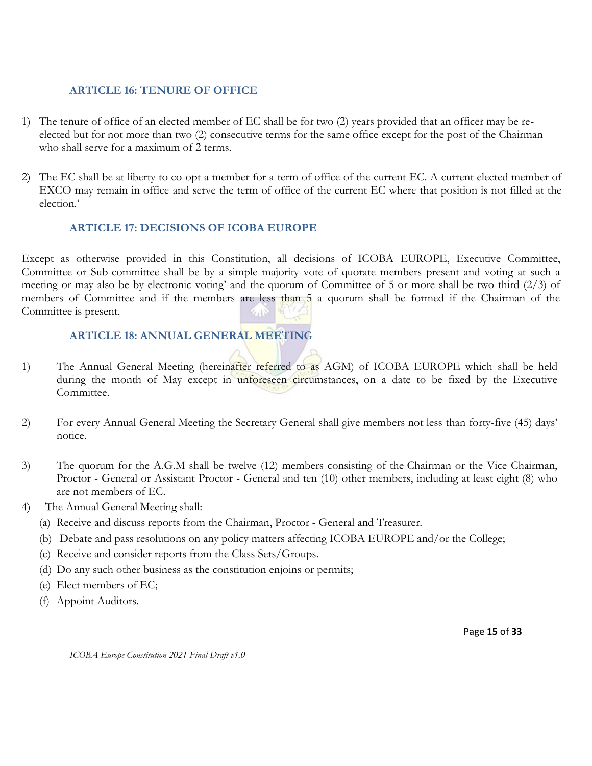# <span id="page-14-0"></span>**ARTICLE 16: TENURE OF OFFICE**

- 1) The tenure of office of an elected member of EC shall be for two (2) years provided that an officer may be reelected but for not more than two (2) consecutive terms for the same office except for the post of the Chairman who shall serve for a maximum of 2 terms.
- 2) The EC shall be at liberty to co-opt a member for a term of office of the current EC. A current elected member of EXCO may remain in office and serve the term of office of the current EC where that position is not filled at the election.'

## <span id="page-14-1"></span>**ARTICLE 17: DECISIONS OF ICOBA EUROPE**

Except as otherwise provided in this Constitution, all decisions of ICOBA EUROPE, Executive Committee, Committee or Sub-committee shall be by a simple majority vote of quorate members present and voting at such a meeting or may also be by electronic voting' and the quorum of Committee of 5 or more shall be two third (2/3) of members of Committee and if the members are less than 5 a quorum shall be formed if the Chairman of the Committee is present.  $2.13$ 

## <span id="page-14-2"></span>**ARTICLE 18: ANNUAL GENERAL MEETING**

- 1) The Annual General Meeting (hereinafter referred to as AGM) of ICOBA EUROPE which shall be held during the month of May except in unforeseen circumstances, on a date to be fixed by the Executive Committee.
- 2) For every Annual General Meeting the Secretary General shall give members not less than forty-five (45) days' notice.
- 3) The quorum for the A.G.M shall be twelve (12) members consisting of the Chairman or the Vice Chairman, Proctor - General or Assistant Proctor - General and ten (10) other members, including at least eight (8) who are not members of EC.
- 4) The Annual General Meeting shall:
	- (a) Receive and discuss reports from the Chairman, Proctor General and Treasurer.
	- (b) Debate and pass resolutions on any policy matters affecting ICOBA EUROPE and/or the College;
	- (c) Receive and consider reports from the Class Sets/Groups.
	- (d) Do any such other business as the constitution enjoins or permits;
	- (e) Elect members of EC;
	- (f) Appoint Auditors.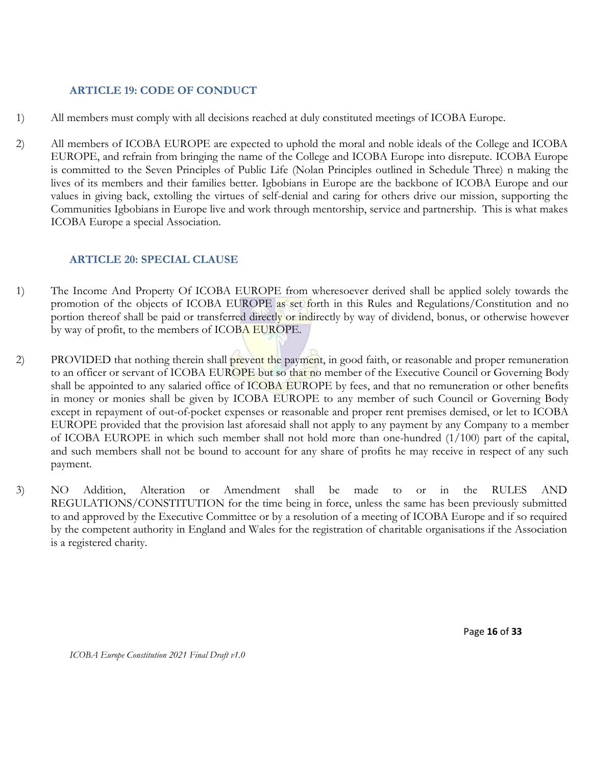# <span id="page-15-0"></span>**ARTICLE 19: CODE OF CONDUCT**

- 1) All members must comply with all decisions reached at duly constituted meetings of ICOBA Europe.
- 2) All members of ICOBA EUROPE are expected to uphold the moral and noble ideals of the College and ICOBA EUROPE, and refrain from bringing the name of the College and ICOBA Europe into disrepute. ICOBA Europe is committed to the Seven Principles of Public Life (Nolan Principles outlined in Schedule Three) n making the lives of its members and their families better. Igbobians in Europe are the backbone of ICOBA Europe and our values in giving back, extolling the virtues of self-denial and caring for others drive our mission, supporting the Communities Igbobians in Europe live and work through mentorship, service and partnership. This is what makes ICOBA Europe a special Association.

## <span id="page-15-1"></span>**ARTICLE 20: SPECIAL CLAUSE**

- 1) The Income And Property Of ICOBA EUROPE from wheresoever derived shall be applied solely towards the promotion of the objects of ICOBA EUROPE as set forth in this Rules and Regulations/Constitution and no portion thereof shall be paid or transferred directly or indirectly by way of dividend, bonus, or otherwise however by way of profit, to the members of ICOBA EUROPE.
- 2) PROVIDED that nothing therein shall prevent the payment, in good faith, or reasonable and proper remuneration to an officer or servant of ICOBA EUROPE but so that no member of the Executive Council or Governing Body shall be appointed to any salaried office of ICOBA EUROPE by fees, and that no remuneration or other benefits in money or monies shall be given by ICOBA EUROPE to any member of such Council or Governing Body except in repayment of out-of-pocket expenses or reasonable and proper rent premises demised, or let to ICOBA EUROPE provided that the provision last aforesaid shall not apply to any payment by any Company to a member of ICOBA EUROPE in which such member shall not hold more than one-hundred (1/100) part of the capital, and such members shall not be bound to account for any share of profits he may receive in respect of any such payment.
- 3) NO Addition, Alteration or Amendment shall be made to or in the RULES AND REGULATIONS/CONSTITUTION for the time being in force, unless the same has been previously submitted to and approved by the Executive Committee or by a resolution of a meeting of ICOBA Europe and if so required by the competent authority in England and Wales for the registration of charitable organisations if the Association is a registered charity.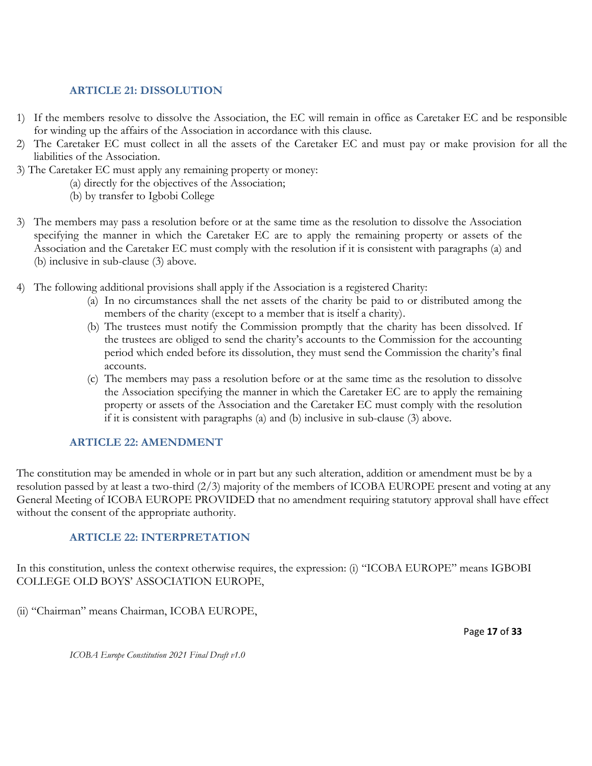# <span id="page-16-0"></span>**ARTICLE 21: DISSOLUTION**

- 1) If the members resolve to dissolve the Association, the EC will remain in office as Caretaker EC and be responsible for winding up the affairs of the Association in accordance with this clause.
- 2) The Caretaker EC must collect in all the assets of the Caretaker EC and must pay or make provision for all the liabilities of the Association.
- 3) The Caretaker EC must apply any remaining property or money:
	- (a) directly for the objectives of the Association;
	- (b) by transfer to Igbobi College
- 3) The members may pass a resolution before or at the same time as the resolution to dissolve the Association specifying the manner in which the Caretaker EC are to apply the remaining property or assets of the Association and the Caretaker EC must comply with the resolution if it is consistent with paragraphs (a) and (b) inclusive in sub-clause (3) above.
- 4) The following additional provisions shall apply if the Association is a registered Charity:
	- (a) In no circumstances shall the net assets of the charity be paid to or distributed among the members of the charity (except to a member that is itself a charity).
	- (b) The trustees must notify the Commission promptly that the charity has been dissolved. If the trustees are obliged to send the charity's accounts to the Commission for the accounting period which ended before its dissolution, they must send the Commission the charity's final accounts.
	- (c) The members may pass a resolution before or at the same time as the resolution to dissolve the Association specifying the manner in which the Caretaker EC are to apply the remaining property or assets of the Association and the Caretaker EC must comply with the resolution if it is consistent with paragraphs (a) and (b) inclusive in sub-clause (3) above.

## <span id="page-16-1"></span>**ARTICLE 22: AMENDMENT**

The constitution may be amended in whole or in part but any such alteration, addition or amendment must be by a resolution passed by at least a two-third (2/3) majority of the members of ICOBA EUROPE present and voting at any General Meeting of ICOBA EUROPE PROVIDED that no amendment requiring statutory approval shall have effect without the consent of the appropriate authority.

## <span id="page-16-2"></span>**ARTICLE 22: INTERPRETATION**

In this constitution, unless the context otherwise requires, the expression: (i) "ICOBA EUROPE" means IGBOBI COLLEGE OLD BOYS' ASSOCIATION EUROPE,

(ii) "Chairman" means Chairman, ICOBA EUROPE,

Page **17** of **33**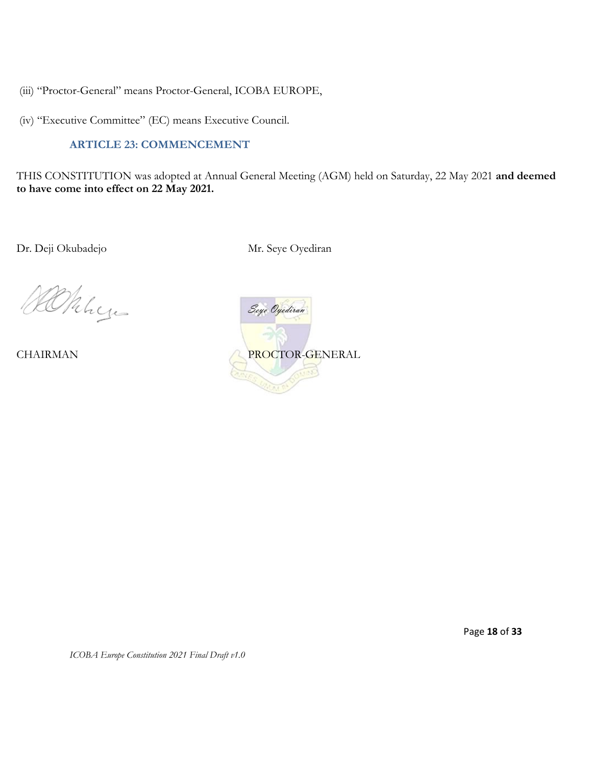- (iii) "Proctor-General" means Proctor-General, ICOBA EUROPE,
- (iv) "Executive Committee" (EC) means Executive Council.

#### <span id="page-17-0"></span>**ARTICLE 23: COMMENCEMENT**

THIS CONSTITUTION was adopted at Annual General Meeting (AGM) held on Saturday, 22 May 2021 **and deemed to have come into effect on 22 May 2021.**

Dr. Deji Okubadejo Mr. Seye Oyediran

Alchinge



Page **18** of **33**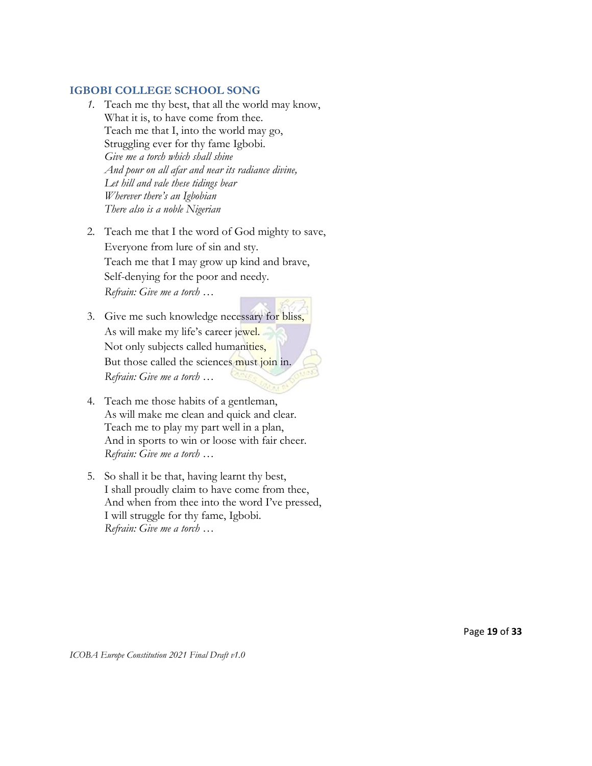#### <span id="page-18-0"></span>**IGBOBI COLLEGE SCHOOL SONG**

- *1.* Teach me thy best, that all the world may know, What it is, to have come from thee. Teach me that I, into the world may go, Struggling ever for thy fame Igbobi. *Give me a torch which shall shine And pour on all afar and near its radiance divine, Let hill and vale these tidings bear Wherever there's an Igbobian There also is a noble Nigerian*
- 2. Teach me that I the word of God mighty to save, Everyone from lure of sin and sty. Teach me that I may grow up kind and brave, Self-denying for the poor and needy. *Refrain: Give me a torch …*
- 3. Give me such knowledge necessary for bliss, As will make my life's career jewel. Not only subjects called humanities, But those called the sciences must join in. *Refrain: Give me a torch …*
- 4. Teach me those habits of a gentleman, As will make me clean and quick and clear. Teach me to play my part well in a plan, And in sports to win or loose with fair cheer. *Refrain: Give me a torch …*
- 5. So shall it be that, having learnt thy best, I shall proudly claim to have come from thee, And when from thee into the word I've pressed, I will struggle for thy fame, Igbobi. *Refrain: Give me a torch …*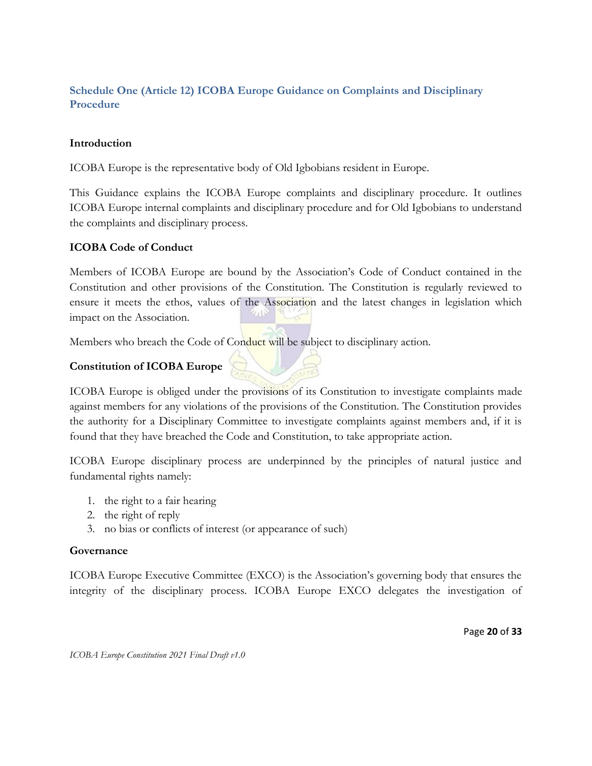# <span id="page-19-0"></span>**Schedule One (Article 12) ICOBA Europe Guidance on Complaints and Disciplinary Procedure**

#### **Introduction**

ICOBA Europe is the representative body of Old Igbobians resident in Europe.

This Guidance explains the ICOBA Europe complaints and disciplinary procedure. It outlines ICOBA Europe internal complaints and disciplinary procedure and for Old Igbobians to understand the complaints and disciplinary process.

#### **ICOBA Code of Conduct**

Members of ICOBA Europe are bound by the Association's Code of Conduct contained in the Constitution and other provisions of the Constitution. The Constitution is regularly reviewed to ensure it meets the ethos, values of the Association and the latest changes in legislation which impact on the Association.

Members who breach the Code of Conduct will be subject to disciplinary action.

## **Constitution of ICOBA Europe**

ICOBA Europe is obliged under the provisions of its Constitution to investigate complaints made against members for any violations of the provisions of the Constitution. The Constitution provides the authority for a Disciplinary Committee to investigate complaints against members and, if it is found that they have breached the Code and Constitution, to take appropriate action.

ICOBA Europe disciplinary process are underpinned by the principles of natural justice and fundamental rights namely:

- 1. the right to a fair hearing
- 2. the right of reply
- 3. no bias or conflicts of interest (or appearance of such)

#### **Governance**

ICOBA Europe Executive Committee (EXCO) is the Association's governing body that ensures the integrity of the disciplinary process. ICOBA Europe EXCO delegates the investigation of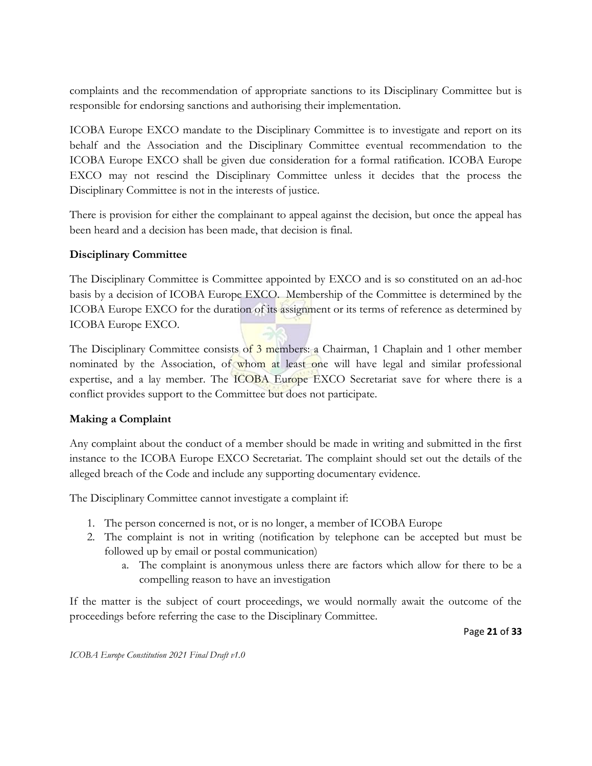complaints and the recommendation of appropriate sanctions to its Disciplinary Committee but is responsible for endorsing sanctions and authorising their implementation.

ICOBA Europe EXCO mandate to the Disciplinary Committee is to investigate and report on its behalf and the Association and the Disciplinary Committee eventual recommendation to the ICOBA Europe EXCO shall be given due consideration for a formal ratification. ICOBA Europe EXCO may not rescind the Disciplinary Committee unless it decides that the process the Disciplinary Committee is not in the interests of justice.

There is provision for either the complainant to appeal against the decision, but once the appeal has been heard and a decision has been made, that decision is final.

## **Disciplinary Committee**

The Disciplinary Committee is Committee appointed by EXCO and is so constituted on an ad-hoc basis by a decision of ICOBA Europe EXCO. Membership of the Committee is determined by the ICOBA Europe EXCO for the duration of its assignment or its terms of reference as determined by ICOBA Europe EXCO.

The Disciplinary Committee consists of 3 members: a Chairman, 1 Chaplain and 1 other member nominated by the Association, of whom at least one will have legal and similar professional expertise, and a lay member. The ICOBA Europe EXCO Secretariat save for where there is a conflict provides support to the Committee but does not participate.

# **Making a Complaint**

Any complaint about the conduct of a member should be made in writing and submitted in the first instance to the ICOBA Europe EXCO Secretariat. The complaint should set out the details of the alleged breach of the Code and include any supporting documentary evidence.

The Disciplinary Committee cannot investigate a complaint if:

- 1. The person concerned is not, or is no longer, a member of ICOBA Europe
- 2. The complaint is not in writing (notification by telephone can be accepted but must be followed up by email or postal communication)
	- a. The complaint is anonymous unless there are factors which allow for there to be a compelling reason to have an investigation

If the matter is the subject of court proceedings, we would normally await the outcome of the proceedings before referring the case to the Disciplinary Committee.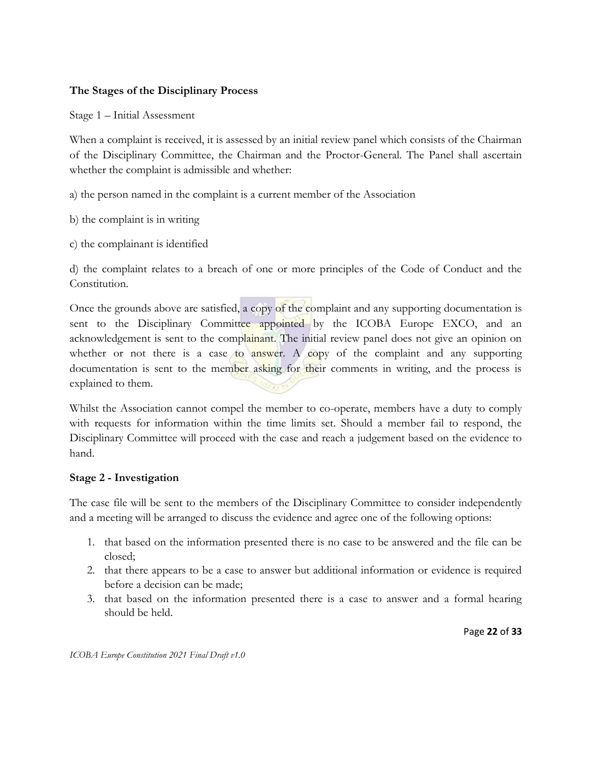## **The Stages of the Disciplinary Process**

Stage 1 – Initial Assessment

When a complaint is received, it is assessed by an initial review panel which consists of the Chairman of the Disciplinary Committee, the Chairman and the Proctor-General. The Panel shall ascertain whether the complaint is admissible and whether:

a) the person named in the complaint is a current member of the Association

b) the complaint is in writing

c) the complainant is identified

d) the complaint relates to a breach of one or more principles of the Code of Conduct and the Constitution.

Once the grounds above are satisfied, a copy of the complaint and any supporting documentation is sent to the Disciplinary Committee appointed by the ICOBA Europe EXCO, and an acknowledgement is sent to the complainant. The initial review panel does not give an opinion on whether or not there is a case to answer. A copy of the complaint and any supporting documentation is sent to the member asking for their comments in writing, and the process is explained to them.

Whilst the Association cannot compel the member to co-operate, members have a duty to comply with requests for information within the time limits set. Should a member fail to respond, the Disciplinary Committee will proceed with the case and reach a judgement based on the evidence to hand.

## **Stage 2 - Investigation**

The case file will be sent to the members of the Disciplinary Committee to consider independently and a meeting will be arranged to discuss the evidence and agree one of the following options:

- 1. that based on the information presented there is no case to be answered and the file can be closed;
- 2. that there appears to be a case to answer but additional information or evidence is required before a decision can be made;
- 3. that based on the information presented there is a case to answer and a formal hearing should be held.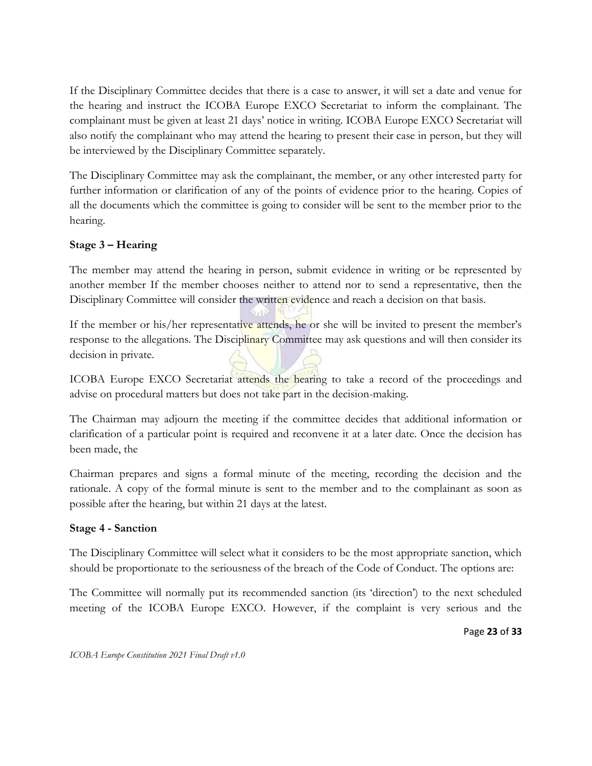If the Disciplinary Committee decides that there is a case to answer, it will set a date and venue for the hearing and instruct the ICOBA Europe EXCO Secretariat to inform the complainant. The complainant must be given at least 21 days' notice in writing. ICOBA Europe EXCO Secretariat will also notify the complainant who may attend the hearing to present their case in person, but they will be interviewed by the Disciplinary Committee separately.

The Disciplinary Committee may ask the complainant, the member, or any other interested party for further information or clarification of any of the points of evidence prior to the hearing. Copies of all the documents which the committee is going to consider will be sent to the member prior to the hearing.

## **Stage 3 – Hearing**

The member may attend the hearing in person, submit evidence in writing or be represented by another member If the member chooses neither to attend nor to send a representative, then the Disciplinary Committee will consider the written evidence and reach a decision on that basis.

If the member or his/her representative attends, he or she will be invited to present the member's response to the allegations. The Disciplinary Committee may ask questions and will then consider its decision in private.

ICOBA Europe EXCO Secretariat attends the hearing to take a record of the proceedings and advise on procedural matters but does not take part in the decision-making.

The Chairman may adjourn the meeting if the committee decides that additional information or clarification of a particular point is required and reconvene it at a later date. Once the decision has been made, the

Chairman prepares and signs a formal minute of the meeting, recording the decision and the rationale. A copy of the formal minute is sent to the member and to the complainant as soon as possible after the hearing, but within 21 days at the latest.

## **Stage 4 - Sanction**

The Disciplinary Committee will select what it considers to be the most appropriate sanction, which should be proportionate to the seriousness of the breach of the Code of Conduct. The options are:

The Committee will normally put its recommended sanction (its 'direction') to the next scheduled meeting of the ICOBA Europe EXCO. However, if the complaint is very serious and the

Page **23** of **33**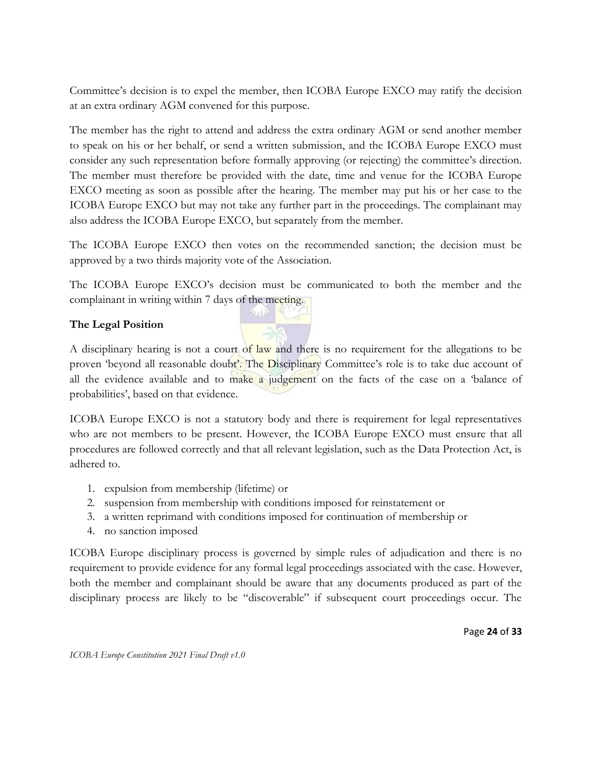Committee's decision is to expel the member, then ICOBA Europe EXCO may ratify the decision at an extra ordinary AGM convened for this purpose.

The member has the right to attend and address the extra ordinary AGM or send another member to speak on his or her behalf, or send a written submission, and the ICOBA Europe EXCO must consider any such representation before formally approving (or rejecting) the committee's direction. The member must therefore be provided with the date, time and venue for the ICOBA Europe EXCO meeting as soon as possible after the hearing. The member may put his or her case to the ICOBA Europe EXCO but may not take any further part in the proceedings. The complainant may also address the ICOBA Europe EXCO, but separately from the member.

The ICOBA Europe EXCO then votes on the recommended sanction; the decision must be approved by a two thirds majority vote of the Association.

The ICOBA Europe EXCO's decision must be communicated to both the member and the complainant in writing within 7 days of the meeting.

## **The Legal Position**

A disciplinary hearing is not a court of law and there is no requirement for the allegations to be proven 'beyond all reasonable doubt'. The Disciplinary Committee's role is to take due account of all the evidence available and to make a judgement on the facts of the case on a 'balance of probabilities', based on that evidence.

ICOBA Europe EXCO is not a statutory body and there is requirement for legal representatives who are not members to be present. However, the ICOBA Europe EXCO must ensure that all procedures are followed correctly and that all relevant legislation, such as the Data Protection Act, is adhered to.

- 1. expulsion from membership (lifetime) or
- 2. suspension from membership with conditions imposed for reinstatement or
- 3. a written reprimand with conditions imposed for continuation of membership or
- 4. no sanction imposed

ICOBA Europe disciplinary process is governed by simple rules of adjudication and there is no requirement to provide evidence for any formal legal proceedings associated with the case. However, both the member and complainant should be aware that any documents produced as part of the disciplinary process are likely to be "discoverable" if subsequent court proceedings occur. The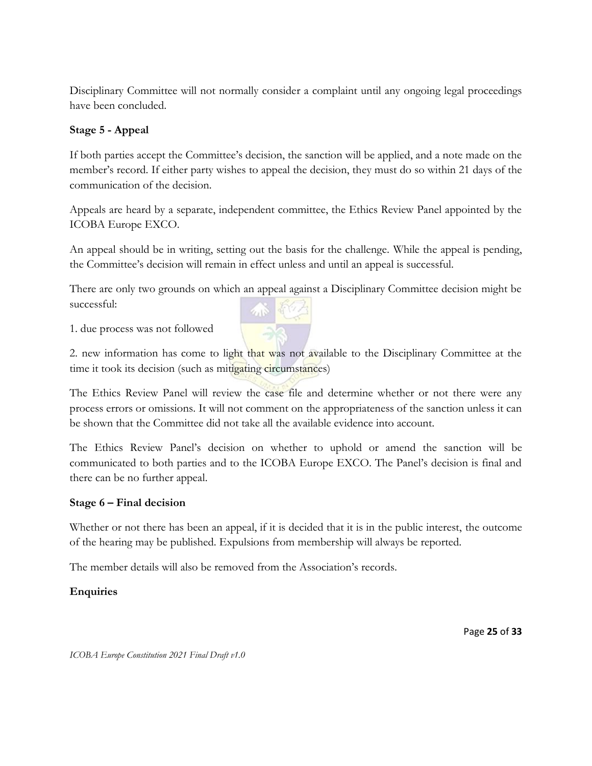Disciplinary Committee will not normally consider a complaint until any ongoing legal proceedings have been concluded.

## **Stage 5 - Appeal**

If both parties accept the Committee's decision, the sanction will be applied, and a note made on the member's record. If either party wishes to appeal the decision, they must do so within 21 days of the communication of the decision.

Appeals are heard by a separate, independent committee, the Ethics Review Panel appointed by the ICOBA Europe EXCO.

An appeal should be in writing, setting out the basis for the challenge. While the appeal is pending, the Committee's decision will remain in effect unless and until an appeal is successful.

There are only two grounds on which an appeal against a Disciplinary Committee decision might be successful:  $215$ 

1. due process was not followed

2. new information has come to light that was not available to the Disciplinary Committee at the time it took its decision (such as mitigating circumstances)

The Ethics Review Panel will review the case file and determine whether or not there were any process errors or omissions. It will not comment on the appropriateness of the sanction unless it can be shown that the Committee did not take all the available evidence into account.

The Ethics Review Panel's decision on whether to uphold or amend the sanction will be communicated to both parties and to the ICOBA Europe EXCO. The Panel's decision is final and there can be no further appeal.

#### **Stage 6 – Final decision**

Whether or not there has been an appeal, if it is decided that it is in the public interest, the outcome of the hearing may be published. Expulsions from membership will always be reported.

The member details will also be removed from the Association's records.

#### **Enquiries**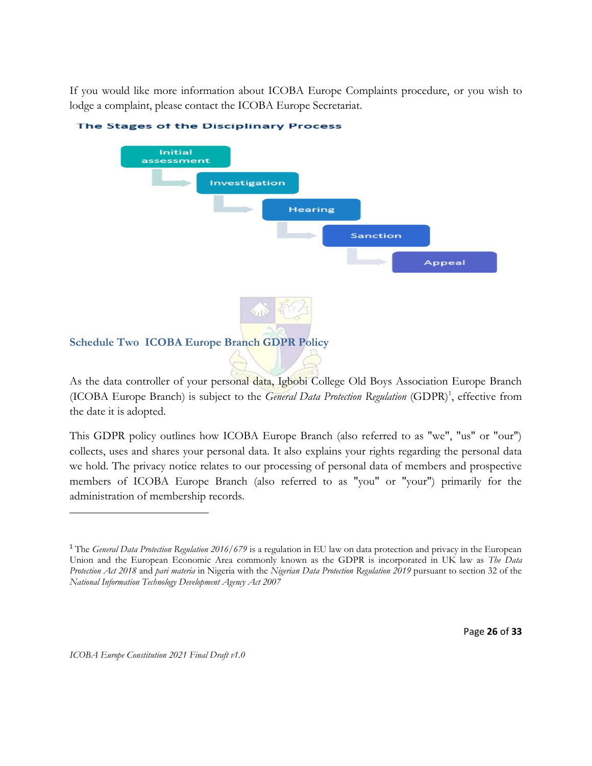If you would like more information about ICOBA Europe Complaints procedure, or you wish to lodge a complaint, please contact the ICOBA Europe Secretariat.



The Stages of the Disciplinary Process

<span id="page-25-0"></span>As the data controller of your personal data, Igbobi College Old Boys Association Europe Branch (ICOBA Europe Branch) is subject to the *General Data Protection Regulation* (GDPR)<sup>1</sup>, effective from the date it is adopted.

This GDPR policy outlines how ICOBA Europe Branch (also referred to as "we", "us" or "our") collects, uses and shares your personal data. It also explains your rights regarding the personal data we hold. The privacy notice relates to our processing of personal data of members and prospective members of ICOBA Europe Branch (also referred to as "you" or "your") primarily for the administration of membership records.

l

<sup>&</sup>lt;sup>1</sup> The *General Data Protection Regulation 2016/679* is a regulation in EU law on data protection and privacy in the European Union and the European Economic Area commonly known as the GDPR is incorporated in UK law as *The Data Protection Act 2018* and *pari materia* in Nigeria with the *Nigerian Data Protection Regulation 2019* pursuant to section 32 of the *National Information Technology Development Agency Act 2007*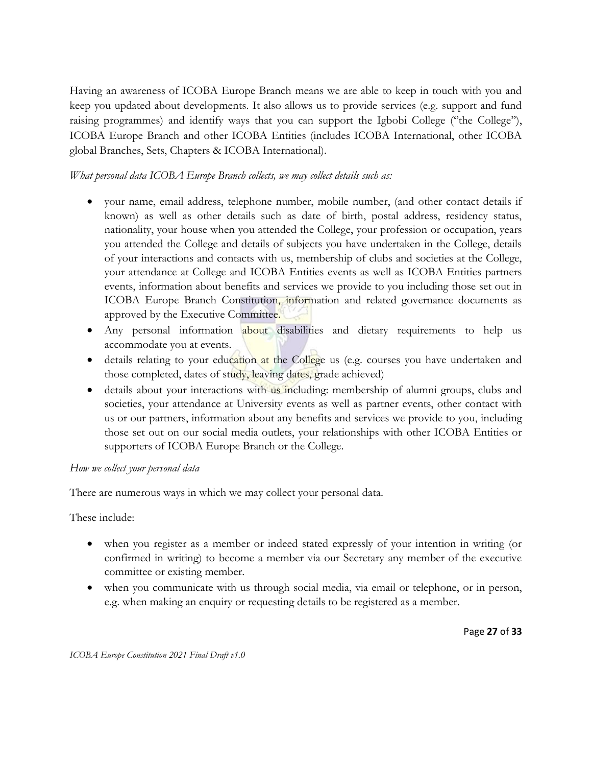Having an awareness of ICOBA Europe Branch means we are able to keep in touch with you and keep you updated about developments. It also allows us to provide services (e.g. support and fund raising programmes) and identify ways that you can support the Igbobi College ("the College"), ICOBA Europe Branch and other ICOBA Entities (includes ICOBA International, other ICOBA global Branches, Sets, Chapters & ICOBA International).

#### *What personal data ICOBA Europe Branch collects, we may collect details such as:*

- your name, email address, telephone number, mobile number, (and other contact details if known) as well as other details such as date of birth, postal address, residency status, nationality, your house when you attended the College, your profession or occupation, years you attended the College and details of subjects you have undertaken in the College, details of your interactions and contacts with us, membership of clubs and societies at the College, your attendance at College and ICOBA Entities events as well as ICOBA Entities partners events, information about benefits and services we provide to you including those set out in ICOBA Europe Branch Constitution, information and related governance documents as approved by the Executive Committee.
- Any personal information about disabilities and dietary requirements to help us accommodate you at events.
- details relating to your education at the College us (e.g. courses you have undertaken and those completed, dates of study, leaving dates, grade achieved)
- details about your interactions with us including: membership of alumni groups, clubs and societies, your attendance at University events as well as partner events, other contact with us or our partners, information about any benefits and services we provide to you, including those set out on our social media outlets, your relationships with other ICOBA Entities or supporters of ICOBA Europe Branch or the College.

#### *How we collect your personal data*

There are numerous ways in which we may collect your personal data.

These include:

- when you register as a member or indeed stated expressly of your intention in writing (or confirmed in writing) to become a member via our Secretary any member of the executive committee or existing member.
- when you communicate with us through social media, via email or telephone, or in person, e.g. when making an enquiry or requesting details to be registered as a member.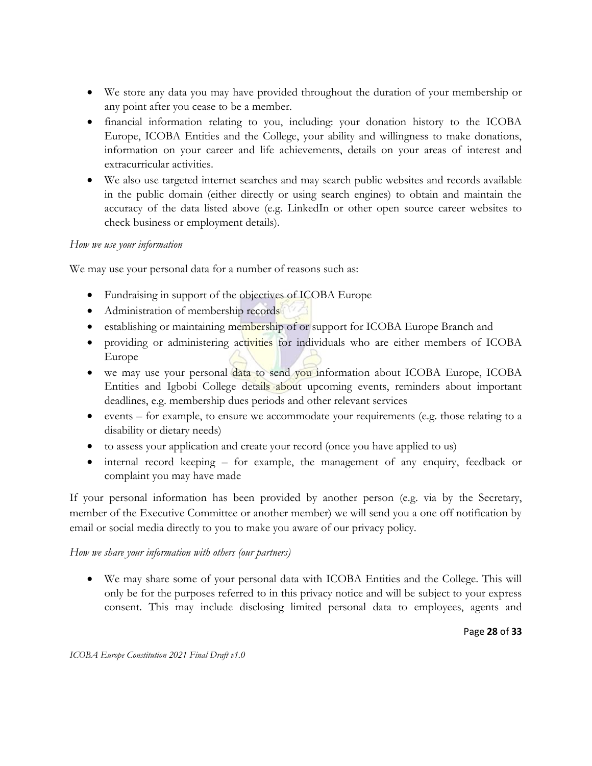- We store any data you may have provided throughout the duration of your membership or any point after you cease to be a member.
- financial information relating to you, including: your donation history to the ICOBA Europe, ICOBA Entities and the College, your ability and willingness to make donations, information on your career and life achievements, details on your areas of interest and extracurricular activities.
- We also use targeted internet searches and may search public websites and records available in the public domain (either directly or using search engines) to obtain and maintain the accuracy of the data listed above (e.g. LinkedIn or other open source career websites to check business or employment details).

#### *How we use your information*

We may use your personal data for a number of reasons such as:

- Fundraising in support of the objectives of ICOBA Europe
- Administration of membership records
- **e** establishing or maintaining membership of or support for ICOBA Europe Branch and
- providing or administering activities for individuals who are either members of ICOBA Europe
- we may use your personal data to send you information about ICOBA Europe, ICOBA Entities and Igbobi College details about upcoming events, reminders about important deadlines, e.g. membership dues periods and other relevant services
- $\bullet$  events for example, to ensure we accommodate your requirements (e.g. those relating to a disability or dietary needs)
- to assess your application and create your record (once you have applied to us)
- internal record keeping for example, the management of any enquiry, feedback or complaint you may have made

If your personal information has been provided by another person (e.g. via by the Secretary, member of the Executive Committee or another member) we will send you a one off notification by email or social media directly to you to make you aware of our privacy policy.

## *How we share your information with others (our partners)*

 We may share some of your personal data with ICOBA Entities and the College. This will only be for the purposes referred to in this privacy notice and will be subject to your express consent. This may include disclosing limited personal data to employees, agents and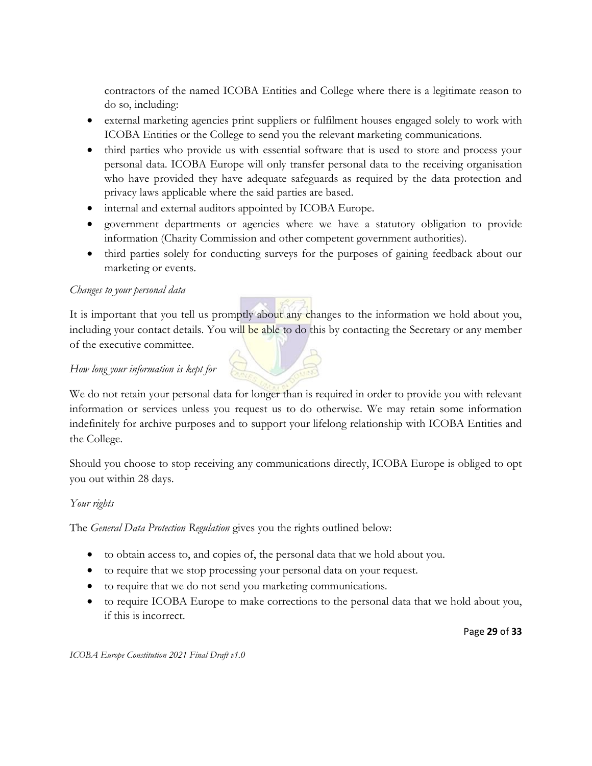contractors of the named ICOBA Entities and College where there is a legitimate reason to do so, including:

- external marketing agencies print suppliers or fulfilment houses engaged solely to work with ICOBA Entities or the College to send you the relevant marketing communications.
- third parties who provide us with essential software that is used to store and process your personal data. ICOBA Europe will only transfer personal data to the receiving organisation who have provided they have adequate safeguards as required by the data protection and privacy laws applicable where the said parties are based.
- internal and external auditors appointed by ICOBA Europe.
- government departments or agencies where we have a statutory obligation to provide information (Charity Commission and other competent government authorities).
- third parties solely for conducting surveys for the purposes of gaining feedback about our marketing or events.

## *Changes to your personal data*

It is important that you tell us promptly about any changes to the information we hold about you, including your contact details. You will be able to do this by contacting the Secretary or any member of the executive committee.

## *How long your information is kept for*

We do not retain your personal data for longer than is required in order to provide you with relevant information or services unless you request us to do otherwise. We may retain some information indefinitely for archive purposes and to support your lifelong relationship with ICOBA Entities and the College.

Should you choose to stop receiving any communications directly, ICOBA Europe is obliged to opt you out within 28 days.

#### *Your rights*

The *General Data Protection Regulation* gives you the rights outlined below:

- to obtain access to, and copies of, the personal data that we hold about you.
- to require that we stop processing your personal data on your request.
- to require that we do not send you marketing communications.
- to require ICOBA Europe to make corrections to the personal data that we hold about you, if this is incorrect.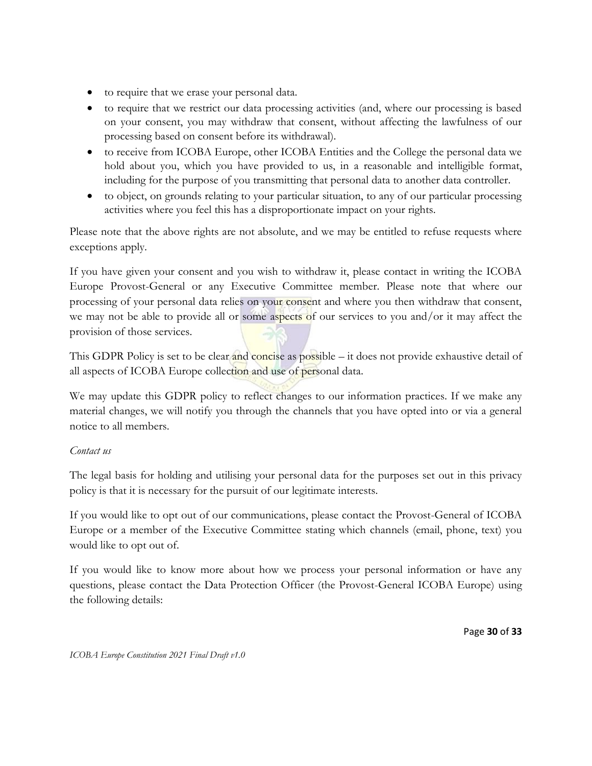- to require that we erase your personal data.
- to require that we restrict our data processing activities (and, where our processing is based on your consent, you may withdraw that consent, without affecting the lawfulness of our processing based on consent before its withdrawal).
- to receive from ICOBA Europe, other ICOBA Entities and the College the personal data we hold about you, which you have provided to us, in a reasonable and intelligible format, including for the purpose of you transmitting that personal data to another data controller.
- to object, on grounds relating to your particular situation, to any of our particular processing activities where you feel this has a disproportionate impact on your rights.

Please note that the above rights are not absolute, and we may be entitled to refuse requests where exceptions apply.

If you have given your consent and you wish to withdraw it, please contact in writing the ICOBA Europe Provost-General or any Executive Committee member. Please note that where our processing of your personal data relies on your consent and where you then withdraw that consent, we may not be able to provide all or some aspects of our services to you and/or it may affect the provision of those services.

This GDPR Policy is set to be clear and concise as possible – it does not provide exhaustive detail of all aspects of ICOBA Europe collection and use of personal data.

We may update this GDPR policy to reflect changes to our information practices. If we make any material changes, we will notify you through the channels that you have opted into or via a general notice to all members.

## *Contact us*

The legal basis for holding and utilising your personal data for the purposes set out in this privacy policy is that it is necessary for the pursuit of our legitimate interests.

If you would like to opt out of our communications, please contact the Provost-General of ICOBA Europe or a member of the Executive Committee stating which channels (email, phone, text) you would like to opt out of.

If you would like to know more about how we process your personal information or have any questions, please contact the Data Protection Officer (the Provost-General ICOBA Europe) using the following details: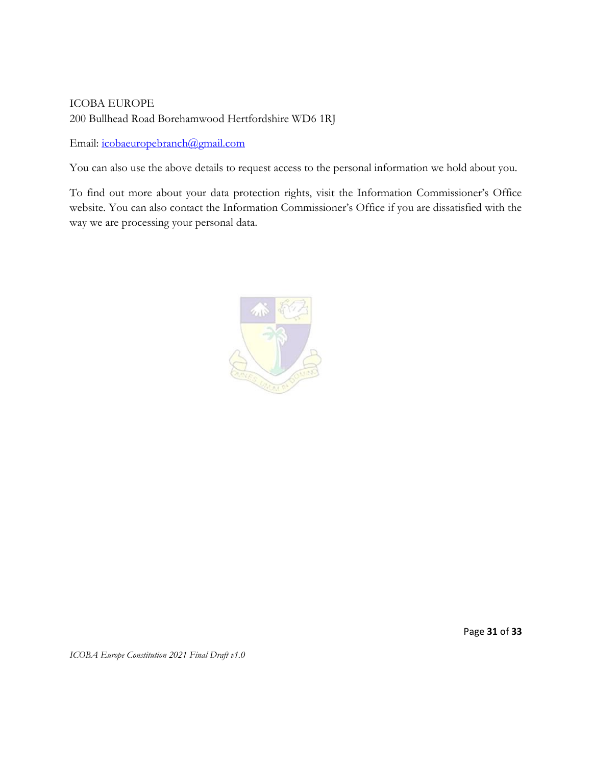# ICOBA EUROPE 200 Bullhead Road Borehamwood Hertfordshire WD6 1RJ

Email: [icobaeuropebranch@gmail.com](mailto:icobaeuropebranch@gmail.com)

You can also use the above details to request access to the personal information we hold about you.

To find out more about your data protection rights, visit the Information Commissioner's Office website. You can also contact the Information Commissioner's Office if you are dissatisfied with the way we are processing your personal data.

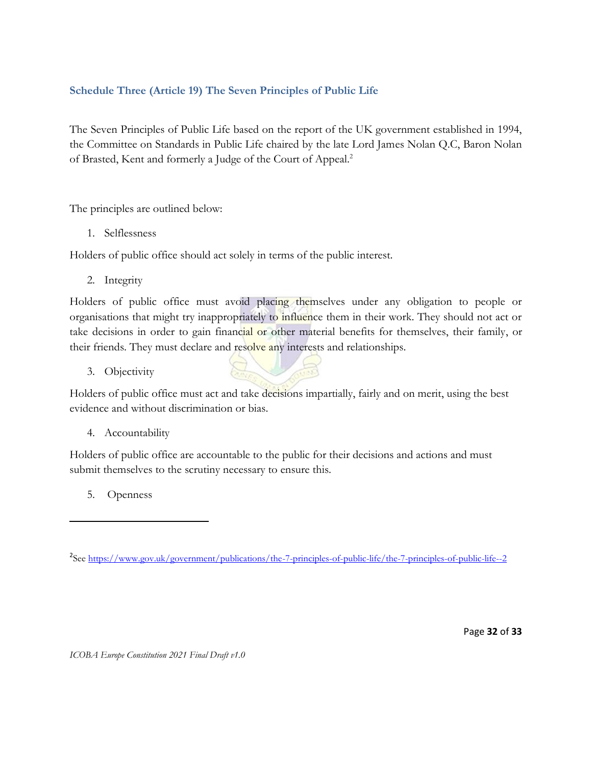# <span id="page-31-0"></span>**Schedule Three (Article 19) The Seven Principles of Public Life**

The Seven Principles of Public Life based on the report of the UK government established in 1994, the Committee on Standards in Public Life chaired by the late Lord James Nolan Q.C, Baron Nolan of Brasted, Kent and formerly a Judge of the Court of Appeal.<sup>2</sup>

The principles are outlined below:

1. Selflessness

Holders of public office should act solely in terms of the public interest.

2. Integrity

Holders of public office must avoid placing themselves under any obligation to people or organisations that might try inappropriately to influence them in their work. They should not act or take decisions in order to gain financial or other material benefits for themselves, their family, or their friends. They must declare and resolve any interests and relationships.

3. Objectivity

Holders of public office must act and take decisions impartially, fairly and on merit, using the best evidence and without discrimination or bias.

4. Accountability

Holders of public office are accountable to the public for their decisions and actions and must submit themselves to the scrutiny necessary to ensure this.

5. Openness

l

<sup>&</sup>lt;sup>2</sup>See<https://www.gov.uk/government/publications/the-7-principles-of-public-life/the-7-principles-of-public-life--2>